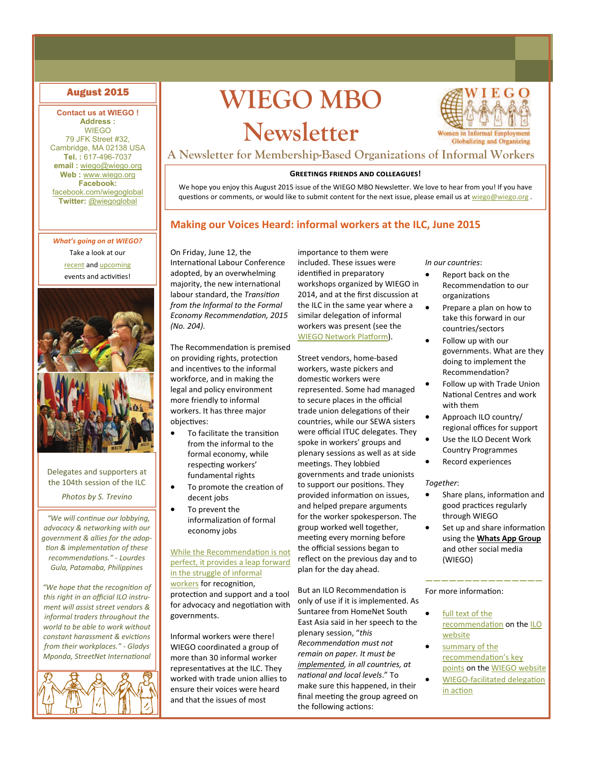### **Contact us at WIEGO ! Address :**

**WIEGO** 79 JFK Street #32, Cambridge, MA 02138 USA **Tel. :** 617-496-7037 **email :** [wiego@wiego.org](mailto:wiego@wiego.org) **Web :** [www.wiego.org](http://www.wiego.org) **Facebook:**  [facebook.com/wiegoglobal](https://www.facebook.com/wiegoglobal) **Twitter:** [@wiegoglobal](https://twitter.com/wiegoglobal)

*What's going on at WIEGO?*  Take a look at our [recent](http://wiego.org/news-events/archive) and [upcoming](http://wiego.org/news-events) events and activities!



Delegates and supporters at the 104th session of the ILC

*Photos by S. Trevino* 

 *"We will conƟnue our lobbying, advocacy & networking with our government & allies for the adop‐ Ɵon & implementaƟon of these recommendaƟons." ‐ Lourdes Gula, Patamaba, Philippines* 

*"We hope that the recogniƟon of this right in an official ILO instru‐ ment will assist street vendors & informal traders throughout the world to be able to work without constant harassment & evicƟons from their workplaces." ‐ Gladys Mponda, StreetNet International* 



# August 2015 **WIEGO MBO Newsletter**



**A Newsletter for Membership-Based Organizations of Informal Workers**

### **GREETINGS FRIENDS AND COLLEAGUES!**

We hope you enjoy this August 2015 issue of the WIEGO MBO Newsletter. We love to hear from you! If you have questions or comments, or would like to submit content for the next issue, please email us at [wiego@wiego.org](mailto:wiego@wiego.org).

### **Making our Voices Heard: informal workers at the ILC, June 2015**

On Friday, June 12, the International Labour Conference adopted, by an overwhelming majority, the new international labour standard, the *TransiƟon from the Informal to the Formal Economy RecommendaƟon, 2015 (No. 204)*.

The Recommendation is premised on providing rights, protection and incentives to the informal workforce, and in making the legal and policy environment more friendly to informal workers. It has three major objectives:

- To facilitate the transition from the informal to the formal economy, while respecting workers' fundamental rights
- To promote the creation of decent jobs
- To prevent the informalization of formal economy jobs

### While the [Recommenda](http://wiego.org/sites/wiego.org/files/resources/files/ILC-Recommendation-Summary-MBOs-English.pdf)tion is not perfect, it [provides](http://wiego.org/sites/wiego.org/files/resources/files/ILC-Recommendation-Summary-MBOs-English.pdf) a leap forward in the struggle of [informal](http://wiego.org/sites/wiego.org/files/resources/files/ILC-Recommendation-Summary-MBOs-English.pdf)

[workers](http://wiego.org/sites/wiego.org/files/resources/files/ILC-Recommendation-Summary-MBOs-English.pdf) for recognition, protection and support and a tool for advocacy and negotiation with governments.

Informal workers were there! WIEGO coordinated a group of more than 30 informal worker representatives at the ILC. They worked with trade union allies to ensure their voices were heard and that the issues of most

importance to them were included. These issues were identified in preparatory workshops organized by WIEGO in 2014, and at the first discussion at the ILC in the same year where a similar delegation of informal workers was present (see the WIEGO [Network](http://wiego.org/sites/wiego.org/files/resources/files/WIEGO-Platform-ILO-2014.pdf) Platform).

Street vendors, home‐based workers, waste pickers and domestic workers were represented. Some had managed to secure places in the official trade union delegations of their countries, while our SEWA sisters were official ITUC delegates. They spoke in workers' groups and plenary sessions as well as at side meetings. They lobbied governments and trade unionists to support our positions. They provided information on issues, and helped prepare arguments for the worker spokesperson. The group worked well together, meeting every morning before the official sessions began to reflect on the previous day and to plan for the day ahead.

But an ILO Recommendation is only of use if it is implemented. As Suntaree from HomeNet South East Asia said in her speech to the plenary session, "*this RecommendaƟon must not remain on paper. It must be implemented, in all countries, at naƟonal and local levels*." To make sure this happened, in their final meeting the group agreed on the following actions:

*In our countries*:

- Report back on the Recommendation to our **organizations**
- Prepare a plan on how to take this forward in our countries/sectors
- Follow up with our governments. What are they doing to implement the Recommendation?
- Follow up with Trade Union National Centres and work with them
- Approach ILO country/ regional offices for support
- Use the ILO Decent Work Country Programmes
- Record experiences

### *Together*:

- Share plans, information and good practices regularly through WIEGO
- Set up and share information using the **Whats App Group** and other social media (WIEGO)

**———————————————**

For more information:

in acti[on](http://wiego.org/content/international-labour-conference-2015)

- full [text](http://bit.ly/1eLvyG1) of the [recommenda](http://bit.ly/1eLvyG1)tion on the [ILO](http://bit.ly/1dQbII0) [website](http://bit.ly/1dQbII0)
- [summary](http://bit.ly/1J8zLL7) of the [recommenda](http://bit.ly/1J8zLL7)Ɵon's key [points](http://bit.ly/1J8zLL7) on the WIEGO [website](http://bit.ly/1HpyFJQ) WIEGO-[facilitated](http://wiego.org/content/international-labour-conference-2015) delegation